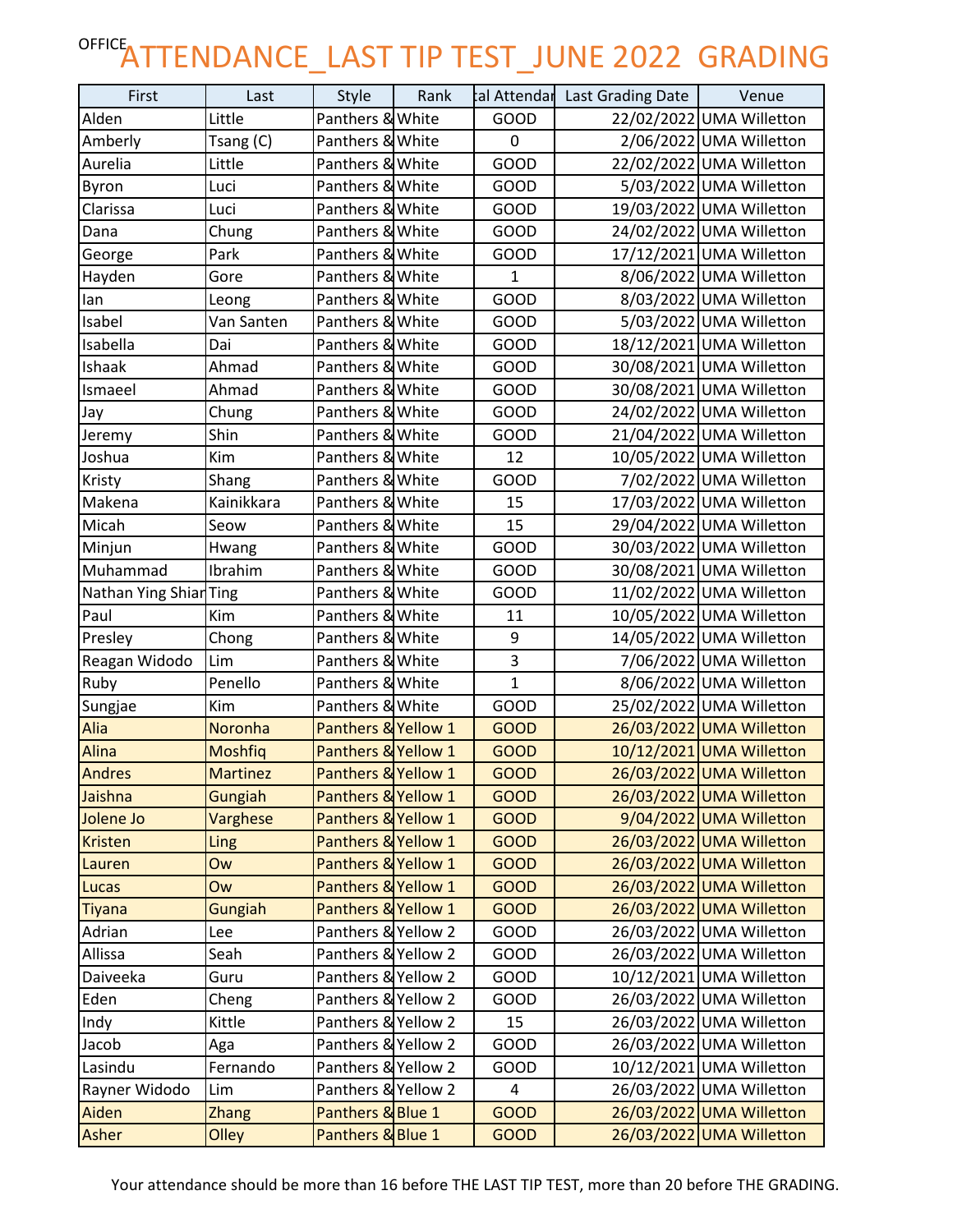## OFFICE<sub>ATTENDANCE\_LAST TIP TEST\_JUNE 2022 GRADING</sub>

| First                  | Last            | Style               | Rank |              | tal Attendar Last Grading Date | Venue                    |
|------------------------|-----------------|---------------------|------|--------------|--------------------------------|--------------------------|
| Alden                  | Little          | Panthers & White    |      | <b>GOOD</b>  |                                | 22/02/2022 UMA Willetton |
| Amberly                | Tsang (C)       | Panthers & White    |      | 0            |                                | 2/06/2022 UMA Willetton  |
| Aurelia                | Little          | Panthers & White    |      | GOOD         |                                | 22/02/2022 UMA Willetton |
| Byron                  | Luci            | Panthers & White    |      | <b>GOOD</b>  |                                | 5/03/2022 UMA Willetton  |
| Clarissa               | Luci            | Panthers & White    |      | GOOD         |                                | 19/03/2022 UMA Willetton |
| Dana                   | Chung           | Panthers & White    |      | GOOD         |                                | 24/02/2022 UMA Willetton |
| George                 | Park            | Panthers & White    |      | GOOD         |                                | 17/12/2021 UMA Willetton |
| Hayden                 | Gore            | Panthers & White    |      | $\mathbf{1}$ |                                | 8/06/2022 UMA Willetton  |
| lan                    | Leong           | Panthers & White    |      | GOOD         |                                | 8/03/2022 UMA Willetton  |
| Isabel                 | Van Santen      | Panthers & White    |      | <b>GOOD</b>  |                                | 5/03/2022 UMA Willetton  |
| Isabella               | Dai             | Panthers & White    |      | <b>GOOD</b>  |                                | 18/12/2021 UMA Willetton |
| Ishaak                 | Ahmad           | Panthers & White    |      | GOOD         |                                | 30/08/2021 UMA Willetton |
| Ismaeel                | Ahmad           | Panthers & White    |      | GOOD         |                                | 30/08/2021 UMA Willetton |
| Jay                    | Chung           | Panthers & White    |      | <b>GOOD</b>  |                                | 24/02/2022 UMA Willetton |
| Jeremy                 | Shin            | Panthers & White    |      | GOOD         |                                | 21/04/2022 UMA Willetton |
| Joshua                 | Kim             | Panthers & White    |      | 12           |                                | 10/05/2022 UMA Willetton |
| Kristy                 | Shang           | Panthers & White    |      | <b>GOOD</b>  |                                | 7/02/2022 UMA Willetton  |
| Makena                 | Kainikkara      | Panthers & White    |      | 15           |                                | 17/03/2022 UMA Willetton |
| Micah                  | Seow            | Panthers & White    |      | 15           |                                | 29/04/2022 UMA Willetton |
| Minjun                 | Hwang           | Panthers & White    |      | GOOD         |                                | 30/03/2022 UMA Willetton |
| Muhammad               | Ibrahim         | Panthers & White    |      | GOOD         |                                | 30/08/2021 UMA Willetton |
| Nathan Ying Shiar Ting |                 | Panthers & White    |      | <b>GOOD</b>  |                                | 11/02/2022 UMA Willetton |
| Paul                   | Kim             | Panthers & White    |      | 11           |                                | 10/05/2022 UMA Willetton |
| Presley                | Chong           | Panthers & White    |      | 9            |                                | 14/05/2022 UMA Willetton |
| Reagan Widodo          | Lim             | Panthers & White    |      | 3            |                                | 7/06/2022 UMA Willetton  |
| Ruby                   | Penello         | Panthers & White    |      | $\mathbf{1}$ |                                | 8/06/2022 UMA Willetton  |
| Sungjae                | Kim             | Panthers & White    |      | GOOD         |                                | 25/02/2022 UMA Willetton |
| Alia                   | Noronha         | Panthers & Yellow 1 |      | <b>GOOD</b>  |                                | 26/03/2022 UMA Willetton |
| Alina                  | <b>Moshfiq</b>  | Panthers & Yellow 1 |      | <b>GOOD</b>  |                                | 10/12/2021 UMA Willetton |
| <b>Andres</b>          | <b>Martinez</b> | Panthers & Yellow 1 |      | <b>GOOD</b>  |                                | 26/03/2022 UMA Willetton |
| Jaishna                | Gungiah         | Panthers & Yellow 1 |      | <b>GOOD</b>  |                                | 26/03/2022 UMA Willetton |
| Jolene Jo              | Varghese        | Panthers & Yellow 1 |      | <b>GOOD</b>  |                                | 9/04/2022 UMA Willetton  |
| <b>Kristen</b>         | Ling            | Panthers & Yellow 1 |      | <b>GOOD</b>  |                                | 26/03/2022 UMA Willetton |
| Lauren                 | Ow              | Panthers & Yellow 1 |      | <b>GOOD</b>  |                                | 26/03/2022 UMA Willetton |
| Lucas                  | Ow              | Panthers & Yellow 1 |      | <b>GOOD</b>  |                                | 26/03/2022 UMA Willetton |
| <b>Tiyana</b>          | Gungiah         | Panthers & Yellow 1 |      | <b>GOOD</b>  |                                | 26/03/2022 UMA Willetton |
| Adrian                 | Lee             | Panthers & Yellow 2 |      | GOOD         |                                | 26/03/2022 UMA Willetton |
| Allissa                | Seah            | Panthers & Yellow 2 |      | GOOD         |                                | 26/03/2022 UMA Willetton |
| Daiveeka               | Guru            | Panthers & Yellow 2 |      | GOOD         |                                | 10/12/2021 UMA Willetton |
| Eden                   | Cheng           | Panthers & Yellow 2 |      | GOOD         |                                | 26/03/2022 UMA Willetton |
| Indy                   | Kittle          | Panthers & Yellow 2 |      | 15           |                                | 26/03/2022 UMA Willetton |
| Jacob                  | Aga             | Panthers & Yellow 2 |      | <b>GOOD</b>  |                                | 26/03/2022 UMA Willetton |
| Lasindu                | Fernando        | Panthers & Yellow 2 |      | GOOD         |                                | 10/12/2021 UMA Willetton |
| Rayner Widodo          | Lim             | Panthers & Yellow 2 |      | 4            |                                | 26/03/2022 UMA Willetton |
| Aiden                  | <b>Zhang</b>    | Panthers & Blue 1   |      | <b>GOOD</b>  |                                | 26/03/2022 UMA Willetton |
| <b>Asher</b>           | Olley           | Panthers & Blue 1   |      | <b>GOOD</b>  |                                | 26/03/2022 UMA Willetton |

Your attendance should be more than 16 before THE LAST TIP TEST, more than 20 before THE GRADING.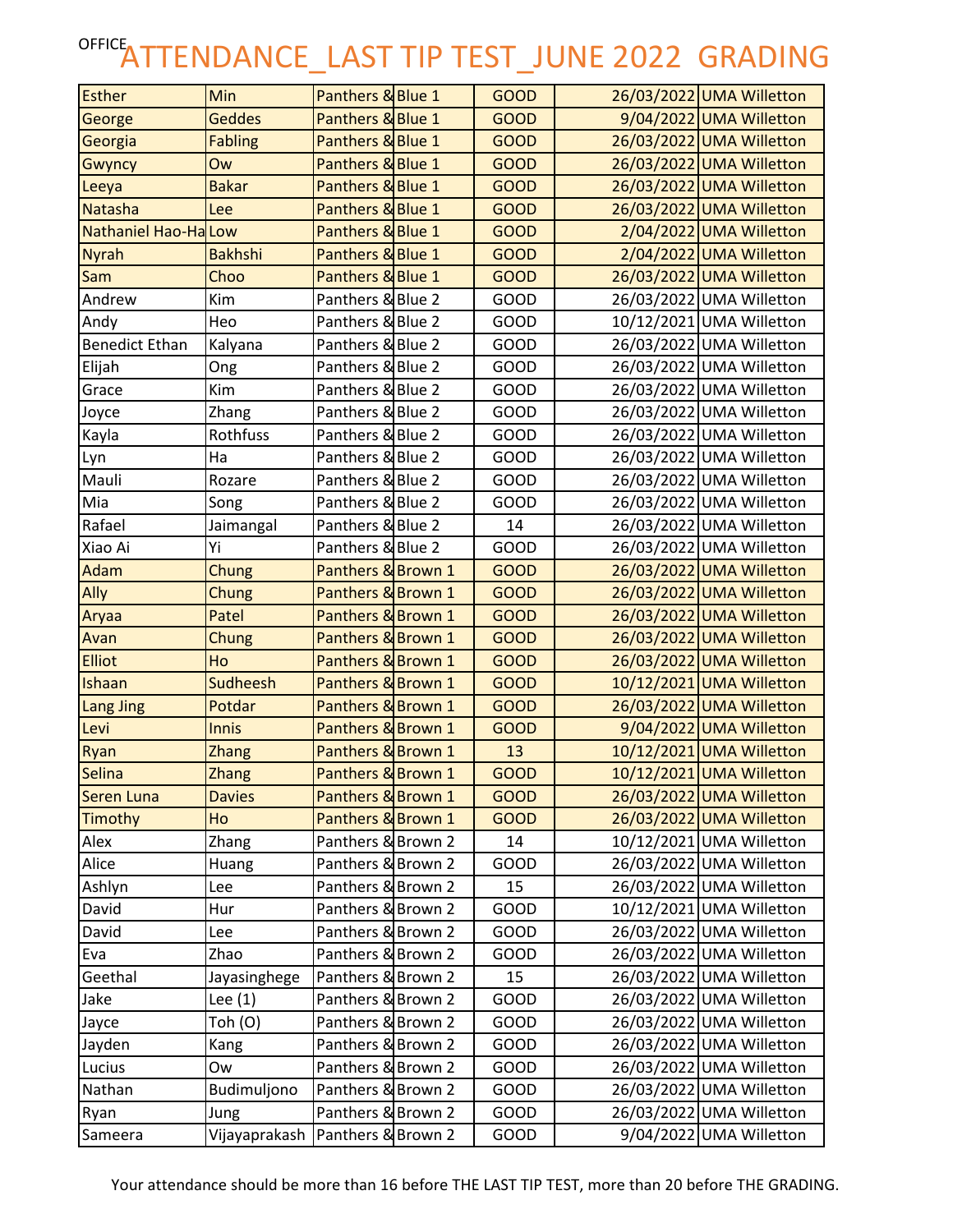## OFFICE<sub>ATTENDANCE\_LAST TIP TEST\_JUNE 2022 GRADING</sub>

| <b>Esther</b>               | Min             | Panthers & Blue 1  | <b>GOOD</b> | 26/03/2022 UMA Willetton |
|-----------------------------|-----------------|--------------------|-------------|--------------------------|
| George                      | <b>Geddes</b>   | Panthers & Blue 1  | <b>GOOD</b> | 9/04/2022 UMA Willetton  |
| Georgia                     | <b>Fabling</b>  | Panthers & Blue 1  | <b>GOOD</b> | 26/03/2022 UMA Willetton |
| Gwyncy                      | Ow              | Panthers & Blue 1  | <b>GOOD</b> | 26/03/2022 UMA Willetton |
| Leeya                       | <b>Bakar</b>    | Panthers & Blue 1  | <b>GOOD</b> | 26/03/2022 UMA Willetton |
| Natasha                     | Lee             | Panthers & Blue 1  | <b>GOOD</b> | 26/03/2022 UMA Willetton |
| <b>Nathaniel Hao-Ha Low</b> |                 | Panthers & Blue 1  | <b>GOOD</b> | 2/04/2022 UMA Willetton  |
| <b>Nyrah</b>                | <b>Bakhshi</b>  | Panthers & Blue 1  | <b>GOOD</b> | 2/04/2022 UMA Willetton  |
| <b>Sam</b>                  | Choo            | Panthers & Blue 1  | <b>GOOD</b> | 26/03/2022 UMA Willetton |
| Andrew                      | Kim             | Panthers & Blue 2  | <b>GOOD</b> | 26/03/2022 UMA Willetton |
| Andy                        | Heo             | Panthers & Blue 2  | <b>GOOD</b> | 10/12/2021 UMA Willetton |
| <b>Benedict Ethan</b>       | Kalyana         | Panthers & Blue 2  | GOOD        | 26/03/2022 UMA Willetton |
| Elijah                      | Ong             | Panthers & Blue 2  | GOOD        | 26/03/2022 UMA Willetton |
| Grace                       | Kim             | Panthers & Blue 2  | GOOD        | 26/03/2022 UMA Willetton |
| Joyce                       | Zhang           | Panthers & Blue 2  | GOOD        | 26/03/2022 UMA Willetton |
| Kayla                       | Rothfuss        | Panthers & Blue 2  | <b>GOOD</b> | 26/03/2022 UMA Willetton |
| Lyn                         | Ha              | Panthers & Blue 2  | <b>GOOD</b> | 26/03/2022 UMA Willetton |
| Mauli                       | Rozare          | Panthers & Blue 2  | <b>GOOD</b> | 26/03/2022 UMA Willetton |
| Mia                         | Song            | Panthers & Blue 2  | <b>GOOD</b> | 26/03/2022 UMA Willetton |
| Rafael                      | Jaimangal       | Panthers & Blue 2  | 14          | 26/03/2022 UMA Willetton |
| Xiao Ai                     | Yi              | Panthers & Blue 2  | GOOD        | 26/03/2022 UMA Willetton |
| Adam                        | Chung           | Panthers & Brown 1 | <b>GOOD</b> | 26/03/2022 UMA Willetton |
| Ally                        | Chung           | Panthers & Brown 1 | <b>GOOD</b> | 26/03/2022 UMA Willetton |
| Aryaa                       | Patel           | Panthers & Brown 1 | <b>GOOD</b> | 26/03/2022 UMA Willetton |
| Avan                        | Chung           | Panthers & Brown 1 | <b>GOOD</b> | 26/03/2022 UMA Willetton |
| <b>Elliot</b>               | Ho              | Panthers & Brown 1 | <b>GOOD</b> | 26/03/2022 UMA Willetton |
| <b>Ishaan</b>               | <b>Sudheesh</b> | Panthers & Brown 1 | <b>GOOD</b> | 10/12/2021 UMA Willetton |
| Lang Jing                   | Potdar          | Panthers & Brown 1 | <b>GOOD</b> | 26/03/2022 UMA Willetton |
| Levi                        | <b>Innis</b>    | Panthers & Brown 1 | <b>GOOD</b> | 9/04/2022 UMA Willetton  |
| Ryan                        | <b>Zhang</b>    | Panthers & Brown 1 | 13          | 10/12/2021 UMA Willetton |
| <b>Selina</b>               | <b>Zhang</b>    | Panthers & Brown 1 | <b>GOOD</b> | 10/12/2021 UMA Willetton |
| <b>Seren Luna</b>           | <b>Davies</b>   | Panthers & Brown 1 | <b>GOOD</b> | 26/03/2022 UMA Willetton |
| Timothy                     | Ho              | Panthers & Brown 1 | <b>GOOD</b> | 26/03/2022 UMA Willetton |
| Alex                        | Zhang           | Panthers & Brown 2 | 14          | 10/12/2021 UMA Willetton |
| Alice                       | Huang           | Panthers & Brown 2 | GOOD        | 26/03/2022 UMA Willetton |
| Ashlyn                      | Lee             | Panthers & Brown 2 | 15          | 26/03/2022 UMA Willetton |
| David                       | Hur             | Panthers & Brown 2 | GOOD        | 10/12/2021 UMA Willetton |
| David                       | Lee             | Panthers & Brown 2 | GOOD        | 26/03/2022 UMA Willetton |
| Eva                         | Zhao            | Panthers & Brown 2 | GOOD        | 26/03/2022 UMA Willetton |
| Geethal                     | Jayasinghege    | Panthers & Brown 2 | 15          | 26/03/2022 UMA Willetton |
| Jake                        | Lee $(1)$       | Panthers & Brown 2 | GOOD        | 26/03/2022 UMA Willetton |
| Jayce                       | Toh (O)         | Panthers & Brown 2 | GOOD        | 26/03/2022 UMA Willetton |
| Jayden                      | Kang            | Panthers & Brown 2 | GOOD        | 26/03/2022 UMA Willetton |
| Lucius                      | Ow              | Panthers & Brown 2 | GOOD        | 26/03/2022 UMA Willetton |
| Nathan                      | Budimuljono     | Panthers & Brown 2 | GOOD        | 26/03/2022 UMA Willetton |
| Ryan                        | Jung            | Panthers & Brown 2 | GOOD        | 26/03/2022 UMA Willetton |
| Sameera                     | Vijayaprakash   | Panthers & Brown 2 | GOOD        | 9/04/2022 UMA Willetton  |

Your attendance should be more than 16 before THE LAST TIP TEST, more than 20 before THE GRADING.